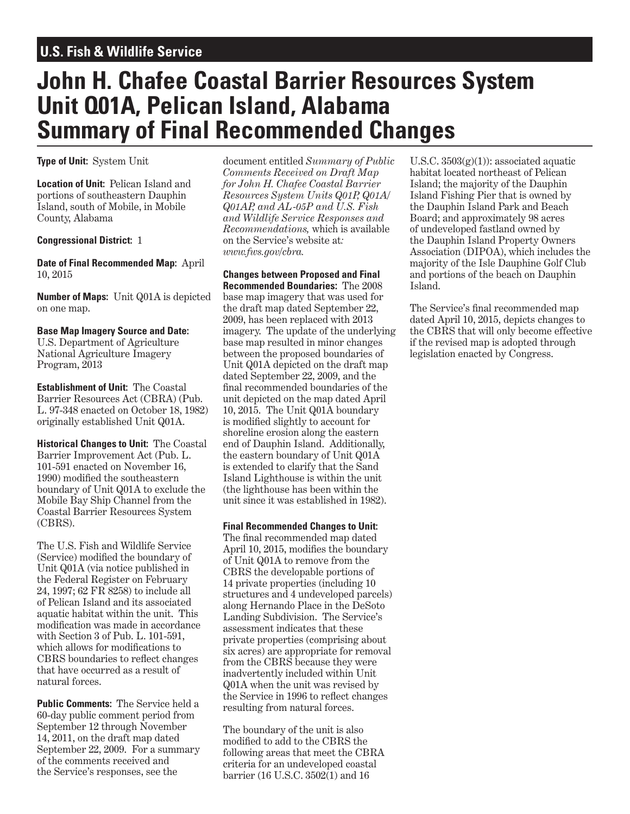# **U.S. Fish & Wildlife Service**

# **John H. Chafee Coastal Barrier Resources System Unit Q01A, Pelican Island, Alabama Summary of Final Recommended Changes**

**Type of Unit:** System Unit

**Location of Unit:** Pelican Island and portions of southeastern Dauphin Island, south of Mobile, in Mobile County, Alabama

#### **Congressional District:** 1

**Date of Final Recommended Map:** April 10, 2015

**Number of Maps:** Unit Q01A is depicted on one map.

### **Base Map Imagery Source and Date:**

U.S. Department of Agriculture National Agriculture Imagery Program, 2013

**Establishment of Unit:** The Coastal Barrier Resources Act (CBRA) (Pub. L. 97-348 enacted on October 18, 1982) originally established Unit Q01A.

**Historical Changes to Unit:** The Coastal Barrier Improvement Act (Pub. L. 101-591 enacted on November 16, 1990) modified the southeastern boundary of Unit Q01A to exclude the Mobile Bay Ship Channel from the Coastal Barrier Resources System (CBRS).

The U.S. Fish and Wildlife Service (Service) modified the boundary of Unit Q01A (via notice published in the Federal Register on February 24, 1997; 62 FR 8258) to include all of Pelican Island and its associated aquatic habitat within the unit. This modification was made in accordance with Section 3 of Pub. L. 101-591, which allows for modifications to CBRS boundaries to reflect changes that have occurred as a result of natural forces.

**Public Comments:** The Service held a 60-day public comment period from September 12 through November 14, 2011, on the draft map dated September 22, 2009. For a summary of the comments received and the Service's responses, see the

document entitled *Summary of Public Comments Received on Draft Map for John H. Chafee Coastal Barrier Resources System Units Q01P, Q01A/ Q01AP, and AL-05P and U.S. Fish and Wildlife Service Responses and Recommendations,* which is available on the Service's website at*: www.fws.gov/cbra.*

**Changes between Proposed and Final Recommended Boundaries:** The 2008 base map imagery that was used for the draft map dated September 22, 2009, has been replaced with 2013 imagery. The update of the underlying base map resulted in minor changes between the proposed boundaries of Unit Q01A depicted on the draft map dated September 22, 2009, and the final recommended boundaries of the unit depicted on the map dated April 10, 2015. The Unit Q01A boundary is modified slightly to account for shoreline erosion along the eastern end of Dauphin Island. Additionally, the eastern boundary of Unit Q01A is extended to clarify that the Sand Island Lighthouse is within the unit (the lighthouse has been within the unit since it was established in 1982).

**Final Recommended Changes to Unit:**  The final recommended map dated April 10, 2015, modifies the boundary of Unit Q01A to remove from the CBRS the developable portions of 14 private properties (including 10 structures and 4 undeveloped parcels) along Hernando Place in the DeSoto Landing Subdivision. The Service's assessment indicates that these private properties (comprising about six acres) are appropriate for removal from the CBRS because they were inadvertently included within Unit Q01A when the unit was revised by the Service in 1996 to reflect changes resulting from natural forces.

The boundary of the unit is also modified to add to the CBRS the following areas that meet the CBRA criteria for an undeveloped coastal barrier (16 U.S.C. 3502(1) and 16

U.S.C.  $3503(g)(1)$ : associated aquatic habitat located northeast of Pelican Island; the majority of the Dauphin Island Fishing Pier that is owned by the Dauphin Island Park and Beach Board; and approximately 98 acres of undeveloped fastland owned by the Dauphin Island Property Owners Association (DIPOA), which includes the majority of the Isle Dauphine Golf Club and portions of the beach on Dauphin Island.

The Service's final recommended map dated April 10, 2015, depicts changes to the CBRS that will only become effective if the revised map is adopted through legislation enacted by Congress.